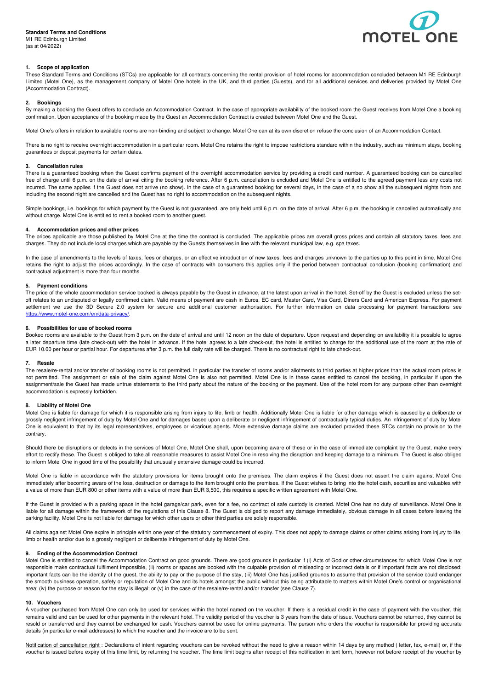## **Standard Terms and Conditions**

M1 RE Edinburgh Limited (as at 04/2022)



# **1. Scope of application**

These Standard Terms and Conditions (STCs) are applicable for all contracts concerning the rental provision of hotel rooms for accommodation concluded between M1 RE Edinburgh Limited (Motel One), as the management company of Motel One hotels in the UK, and third parties (Guests), and for all additional services and deliveries provided by Motel One (Accommodation Contract).

#### **2. Bookings**

By making a booking the Guest offers to conclude an Accommodation Contract. In the case of appropriate availability of the booked room the Guest receives from Motel One a booking confirmation. Upon acceptance of the booking made by the Guest an Accommodation Contract is created between Motel One and the Guest.

Motel One's offers in relation to available rooms are non-binding and subject to change. Motel One can at its own discretion refuse the conclusion of an Accommodation Contact.

There is no right to receive overnight accommodation in a particular room. Motel One retains the right to impose restrictions standard within the industry, such as minimum stays, booking guarantees or deposit payments for certain dates.

# **3. Cancellation rules**

There is a guaranteed booking when the Guest confirms payment of the overnight accommodation service by providing a credit card number. A guaranteed booking can be cancelled free of charge until 6 p.m. on the date of arrival citing the booking reference. After 6 p.m. cancellation is excluded and Motel One is entitled to the agreed payment less any costs not incurred. The same applies if the Guest does not arrive (no show). In the case of a guaranteed booking for several days, in the case of a no show all the subsequent nights from and including the second night are cancelled and the Guest has no right to accommodation on the subsequent nights.

Simple bookings, i.e. bookings for which payment by the Guest is not guaranteed, are only held until 6 p.m. on the date of arrival. After 6 p.m. the booking is cancelled automatically and without charge. Motel One is entitled to rent a booked room to another guest.

#### **4. Accommodation prices and other prices**

The prices applicable are those published by Motel One at the time the contract is concluded. The applicable prices are overall gross prices and contain all statutory taxes, fees and charges. They do not include local charges which are payable by the Guests themselves in line with the relevant municipal law, e.g. spa taxes.

In the case of amendments to the levels of taxes, fees or charges, or an effective introduction of new taxes, fees and charges unknown to the parties up to this point in time, Motel One retains the right to adjust the prices accordingly. In the case of contracts with consumers this applies only if the period between contractual conclusion (booking confirmation) and contractual adjustment is more than four months.

### **5. Payment conditions**

The price of the whole accommodation service booked is always payable by the Guest in advance, at the latest upon arrival in the hotel. Set-off by the Guest is excluded unless the setoff relates to an undisputed or legally confirmed claim. Valid means of payment are cash in Euros, EC card, Master Card, Visa Card, Diners Card and American Express. For payment settlement we use the 3D Secure 2.0 system for secure and additional customer authorisation. For further information on data processing for payment transactions see https://www.motel-one.com/en/data-privacy/.

#### **6. Possibilities for use of booked rooms**

Booked rooms are available to the Guest from 3 p.m. on the date of arrival and until 12 noon on the date of departure. Upon request and depending on availability it is possible to agree a later departure time (late check-out) with the hotel in advance. If the hotel agrees to a late check-out, the hotel is entitled to charge for the additional use of the room at the rate of EUR 10.00 per hour or partial hour. For departures after 3 p.m. the full daily rate will be charged. There is no contractual right to late check-out.

#### **7. Resale**

The resale/re-rental and/or transfer of booking rooms is not permitted. In particular the transfer of rooms and/or allotments to third parties at higher prices than the actual room prices is not permitted. The assignment or sale of the claim against Motel One is also not permitted. Motel One is in these cases entitled to cancel the booking, in particular if upon the assignment/sale the Guest has made untrue statements to the third party about the nature of the booking or the payment. Use of the hotel room for any purpose other than overnight accommodation is expressly forbidden.

### **8. Liability of Motel One**

Motel One is liable for damage for which it is responsible arising from injury to life, limb or health. Additionally Motel One is liable for other damage which is caused by a deliberate or grossly negligent infringement of duty by Motel One and for damages based upon a deliberate or negligent infringement of contractually typical duties. An infringement of duty by Motel One is equivalent to that by its legal representatives, employees or vicarious agents. More extensive damage claims are excluded provided these STCs contain no provision to the contrary.

Should there be disruptions or defects in the services of Motel One, Motel One shall, upon becoming aware of these or in the case of immediate complaint by the Guest, make every effort to rectify these. The Guest is obliged to take all reasonable measures to assist Motel One in resolving the disruption and keeping damage to a minimum. The Guest is also obliged to inform Motel One in good time of the possibility that unusually extensive damage could be incurred.

Motel One is liable in accordance with the statutory provisions for items brought onto the premises. The claim expires if the Guest does not assert the claim against Motel One immediately after becoming aware of the loss, destruction or damage to the item brought onto the premises. If the Guest wishes to bring into the hotel cash, securities and valuables with a value of more than EUR 800 or other items with a value of more than EUR 3,500, this requires a specific written agreement with Motel One.

If the Guest is provided with a parking space in the hotel garage/car park, even for a fee, no contract of safe custody is created. Motel One has no duty of surveillance. Motel One is liable for all damage within the framework of the regulations of this Clause 8. The Guest is obliged to report any damage immediately, obvious damage in all cases before leaving the parking facility. Motel One is not liable for damage for which other users or other third parties are solely responsible.

All claims against Motel One expire in principle within one year of the statutory commencement of expiry. This does not apply to damage claims or other claims arising from injury to life, limb or health and/or due to a grossly negligent or deliberate infringement of duty by Motel One.

#### **9. Ending of the Accommodation Contract**

Motel One is entitled to cancel the Accommodation Contract on good grounds. There are good grounds in particular if (i) Acts of God or other circumstances for which Motel One is not responsible make contractual fulfilment impossible, (ii) rooms or spaces are booked with the culpable provision of misleading or incorrect details or if important facts are not disclosed; important facts can be the identity of the guest, the ability to pay or the purpose of the stay, (iii) Motel One has justified grounds to assume that provision of the service could endanger the smooth business operation, safety or reputation of Motel One and its hotels amongst the public without this being attributable to matters within Motel One's control or organisational area; (iv) the purpose or reason for the stay is illegal; or (v) in the case of the resale/re-rental and/or transfer (see Clause 7).

#### **10. Vouchers**

A voucher purchased from Motel One can only be used for services within the hotel named on the voucher. If there is a residual credit in the case of payment with the voucher, this remains valid and can be used for other payments in the relevant hotel. The validity period of the voucher is 3 years from the date of issue. Vouchers cannot be returned, they cannot be resold or transferred and they cannot be exchanged for cash. Vouchers cannot be used for online payments. The person who orders the voucher is responsible for providing accurate details (in particular e-mail addresses) to which the voucher and the invoice are to be sent.

Notification of cancellation right : Declarations of intent regarding vouchers can be revoked without the need to give a reason within 14 days by any method (letter, fax, e-mail) or, if the voucher is issued before expiry of this time limit, by returning the voucher. The time limit begins after receipt of this notification in text form, however not before receipt of the voucher by